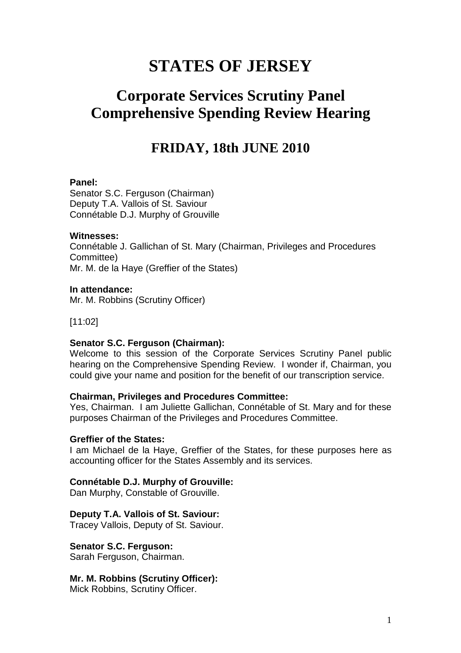# **STATES OF JERSEY**

# **Corporate Services Scrutiny Panel Comprehensive Spending Review Hearing**

## **FRIDAY, 18th JUNE 2010**

## **Panel:**

Senator S.C. Ferguson (Chairman) Deputy T.A. Vallois of St. Saviour Connétable D.J. Murphy of Grouville

## **Witnesses:**

Connétable J. Gallichan of St. Mary (Chairman, Privileges and Procedures Committee) Mr. M. de la Haye (Greffier of the States)

## **In attendance:**

Mr. M. Robbins (Scrutiny Officer)

[11:02]

## **Senator S.C. Ferguson (Chairman):**

Welcome to this session of the Corporate Services Scrutiny Panel public hearing on the Comprehensive Spending Review. I wonder if, Chairman, you could give your name and position for the benefit of our transcription service.

## **Chairman, Privileges and Procedures Committee:**

Yes, Chairman. I am Juliette Gallichan, Connétable of St. Mary and for these purposes Chairman of the Privileges and Procedures Committee.

## **Greffier of the States:**

I am Michael de la Haye, Greffier of the States, for these purposes here as accounting officer for the States Assembly and its services.

## **Connétable D.J. Murphy of Grouville:**

Dan Murphy, Constable of Grouville.

## **Deputy T.A. Vallois of St. Saviour:**

Tracey Vallois, Deputy of St. Saviour.

**Senator S.C. Ferguson:**

Sarah Ferguson, Chairman.

**Mr. M. Robbins (Scrutiny Officer):** 

Mick Robbins, Scrutiny Officer.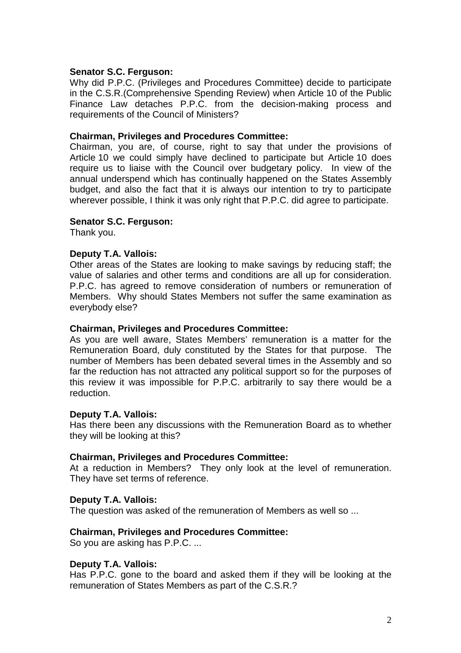## **Senator S.C. Ferguson:**

Why did P.P.C. (Privileges and Procedures Committee) decide to participate in the C.S.R.(Comprehensive Spending Review) when Article 10 of the Public Finance Law detaches P.P.C. from the decision-making process and requirements of the Council of Ministers?

## **Chairman, Privileges and Procedures Committee:**

Chairman, you are, of course, right to say that under the provisions of Article 10 we could simply have declined to participate but Article 10 does require us to liaise with the Council over budgetary policy. In view of the annual underspend which has continually happened on the States Assembly budget, and also the fact that it is always our intention to try to participate wherever possible, I think it was only right that P.P.C. did agree to participate.

## **Senator S.C. Ferguson:**

Thank you.

## **Deputy T.A. Vallois:**

Other areas of the States are looking to make savings by reducing staff; the value of salaries and other terms and conditions are all up for consideration. P.P.C. has agreed to remove consideration of numbers or remuneration of Members. Why should States Members not suffer the same examination as everybody else?

## **Chairman, Privileges and Procedures Committee:**

As you are well aware, States Members' remuneration is a matter for the Remuneration Board, duly constituted by the States for that purpose. The number of Members has been debated several times in the Assembly and so far the reduction has not attracted any political support so for the purposes of this review it was impossible for P.P.C. arbitrarily to say there would be a reduction.

## **Deputy T.A. Vallois:**

Has there been any discussions with the Remuneration Board as to whether they will be looking at this?

## **Chairman, Privileges and Procedures Committee:**

At a reduction in Members? They only look at the level of remuneration. They have set terms of reference.

## **Deputy T.A. Vallois:**

The question was asked of the remuneration of Members as well so ...

## **Chairman, Privileges and Procedures Committee:**

So you are asking has P.P.C. ...

## **Deputy T.A. Vallois:**

Has P.P.C. gone to the board and asked them if they will be looking at the remuneration of States Members as part of the C.S.R.?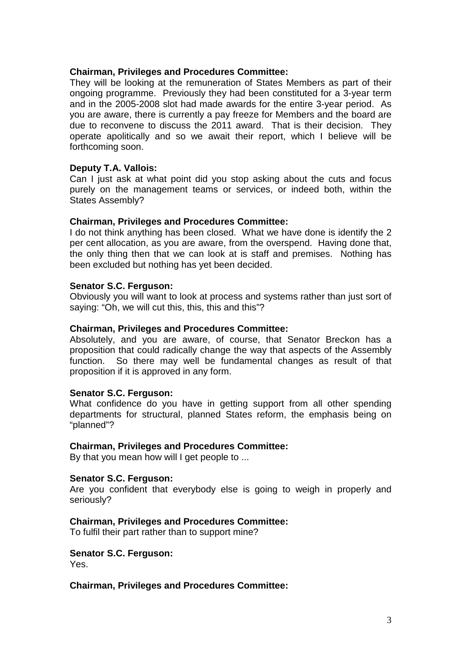## **Chairman, Privileges and Procedures Committee:**

They will be looking at the remuneration of States Members as part of their ongoing programme. Previously they had been constituted for a 3-year term and in the 2005-2008 slot had made awards for the entire 3-year period. As you are aware, there is currently a pay freeze for Members and the board are due to reconvene to discuss the 2011 award. That is their decision. They operate apolitically and so we await their report, which I believe will be forthcoming soon.

## **Deputy T.A. Vallois:**

Can I just ask at what point did you stop asking about the cuts and focus purely on the management teams or services, or indeed both, within the States Assembly?

## **Chairman, Privileges and Procedures Committee:**

I do not think anything has been closed. What we have done is identify the 2 per cent allocation, as you are aware, from the overspend. Having done that, the only thing then that we can look at is staff and premises. Nothing has been excluded but nothing has yet been decided.

## **Senator S.C. Ferguson:**

Obviously you will want to look at process and systems rather than just sort of saying: "Oh, we will cut this, this, this and this"?

## **Chairman, Privileges and Procedures Committee:**

Absolutely, and you are aware, of course, that Senator Breckon has a proposition that could radically change the way that aspects of the Assembly function. So there may well be fundamental changes as result of that proposition if it is approved in any form.

## **Senator S.C. Ferguson:**

What confidence do you have in getting support from all other spending departments for structural, planned States reform, the emphasis being on "planned"?

## **Chairman, Privileges and Procedures Committee:**

By that you mean how will I get people to ...

## **Senator S.C. Ferguson:**

Are you confident that everybody else is going to weigh in properly and seriously?

## **Chairman, Privileges and Procedures Committee:**

To fulfil their part rather than to support mine?

## **Senator S.C. Ferguson:**

Yes.

## **Chairman, Privileges and Procedures Committee:**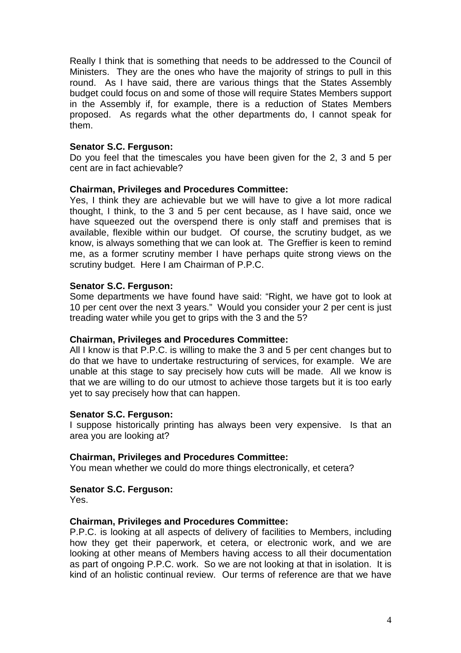Really I think that is something that needs to be addressed to the Council of Ministers. They are the ones who have the majority of strings to pull in this round. As I have said, there are various things that the States Assembly budget could focus on and some of those will require States Members support in the Assembly if, for example, there is a reduction of States Members proposed. As regards what the other departments do, I cannot speak for them.

## **Senator S.C. Ferguson:**

Do you feel that the timescales you have been given for the 2, 3 and 5 per cent are in fact achievable?

## **Chairman, Privileges and Procedures Committee:**

Yes, I think they are achievable but we will have to give a lot more radical thought, I think, to the 3 and 5 per cent because, as I have said, once we have squeezed out the overspend there is only staff and premises that is available, flexible within our budget. Of course, the scrutiny budget, as we know, is always something that we can look at. The Greffier is keen to remind me, as a former scrutiny member I have perhaps quite strong views on the scrutiny budget. Here I am Chairman of P.P.C.

## **Senator S.C. Ferguson:**

Some departments we have found have said: "Right, we have got to look at 10 per cent over the next 3 years." Would you consider your 2 per cent is just treading water while you get to grips with the 3 and the 5?

## **Chairman, Privileges and Procedures Committee:**

All I know is that P.P.C. is willing to make the 3 and 5 per cent changes but to do that we have to undertake restructuring of services, for example. We are unable at this stage to say precisely how cuts will be made. All we know is that we are willing to do our utmost to achieve those targets but it is too early yet to say precisely how that can happen.

## **Senator S.C. Ferguson:**

I suppose historically printing has always been very expensive. Is that an area you are looking at?

## **Chairman, Privileges and Procedures Committee:**

You mean whether we could do more things electronically, et cetera?

## **Senator S.C. Ferguson:**

Yes.

## **Chairman, Privileges and Procedures Committee:**

P.P.C. is looking at all aspects of delivery of facilities to Members, including how they get their paperwork, et cetera, or electronic work, and we are looking at other means of Members having access to all their documentation as part of ongoing P.P.C. work. So we are not looking at that in isolation. It is kind of an holistic continual review. Our terms of reference are that we have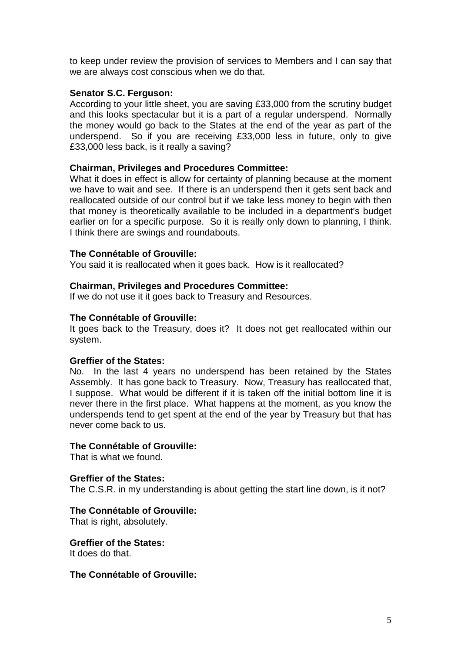to keep under review the provision of services to Members and I can say that we are always cost conscious when we do that.

## **Senator S.C. Ferguson:**

According to your little sheet, you are saving £33,000 from the scrutiny budget and this looks spectacular but it is a part of a regular underspend. Normally the money would go back to the States at the end of the year as part of the underspend. So if you are receiving £33,000 less in future, only to give £33,000 less back, is it really a saving?

## **Chairman, Privileges and Procedures Committee:**

What it does in effect is allow for certainty of planning because at the moment we have to wait and see. If there is an underspend then it gets sent back and reallocated outside of our control but if we take less money to begin with then that money is theoretically available to be included in a department's budget earlier on for a specific purpose. So it is really only down to planning, I think. I think there are swings and roundabouts.

## **The Connétable of Grouville:**

You said it is reallocated when it goes back. How is it reallocated?

## **Chairman, Privileges and Procedures Committee:**

If we do not use it it goes back to Treasury and Resources.

## **The Connétable of Grouville:**

It goes back to the Treasury, does it? It does not get reallocated within our system.

## **Greffier of the States:**

No. In the last 4 years no underspend has been retained by the States Assembly. It has gone back to Treasury. Now, Treasury has reallocated that, I suppose. What would be different if it is taken off the initial bottom line it is never there in the first place. What happens at the moment, as you know the underspends tend to get spent at the end of the year by Treasury but that has never come back to us.

## **The Connétable of Grouville:**

That is what we found.

## **Greffier of the States:**

The C.S.R. in my understanding is about getting the start line down, is it not?

## **The Connétable of Grouville:**

That is right, absolutely.

## **Greffier of the States:**

It does do that.

## **The Connétable of Grouville:**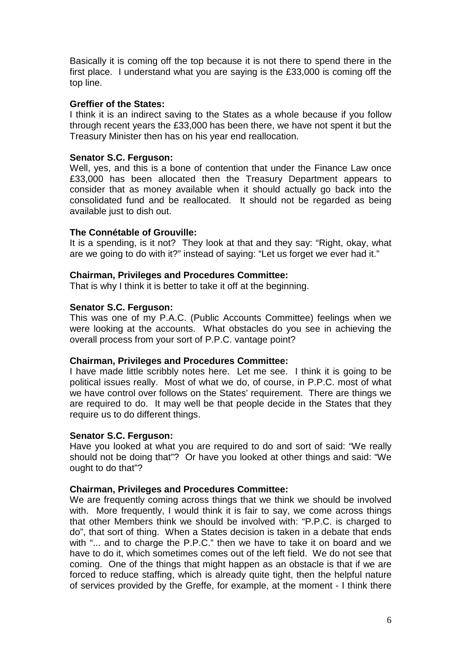Basically it is coming off the top because it is not there to spend there in the first place. I understand what you are saying is the £33,000 is coming off the top line.

## **Greffier of the States:**

I think it is an indirect saving to the States as a whole because if you follow through recent years the £33,000 has been there, we have not spent it but the Treasury Minister then has on his year end reallocation.

## **Senator S.C. Ferguson:**

Well, yes, and this is a bone of contention that under the Finance Law once £33,000 has been allocated then the Treasury Department appears to consider that as money available when it should actually go back into the consolidated fund and be reallocated. It should not be regarded as being available just to dish out.

## **The Connétable of Grouville:**

It is a spending, is it not? They look at that and they say: "Right, okay, what are we going to do with it?" instead of saying: "Let us forget we ever had it."

## **Chairman, Privileges and Procedures Committee:**

That is why I think it is better to take it off at the beginning.

## **Senator S.C. Ferguson:**

This was one of my P.A.C. (Public Accounts Committee) feelings when we were looking at the accounts. What obstacles do you see in achieving the overall process from your sort of P.P.C. vantage point?

## **Chairman, Privileges and Procedures Committee:**

I have made little scribbly notes here. Let me see. I think it is going to be political issues really. Most of what we do, of course, in P.P.C. most of what we have control over follows on the States' requirement. There are things we are required to do. It may well be that people decide in the States that they require us to do different things.

## **Senator S.C. Ferguson:**

Have you looked at what you are required to do and sort of said: "We really should not be doing that"? Or have you looked at other things and said: "We ought to do that"?

## **Chairman, Privileges and Procedures Committee:**

We are frequently coming across things that we think we should be involved with. More frequently, I would think it is fair to say, we come across things that other Members think we should be involved with: "P.P.C. is charged to do", that sort of thing. When a States decision is taken in a debate that ends with "... and to charge the P.P.C." then we have to take it on board and we have to do it, which sometimes comes out of the left field. We do not see that coming. One of the things that might happen as an obstacle is that if we are forced to reduce staffing, which is already quite tight, then the helpful nature of services provided by the Greffe, for example, at the moment - I think there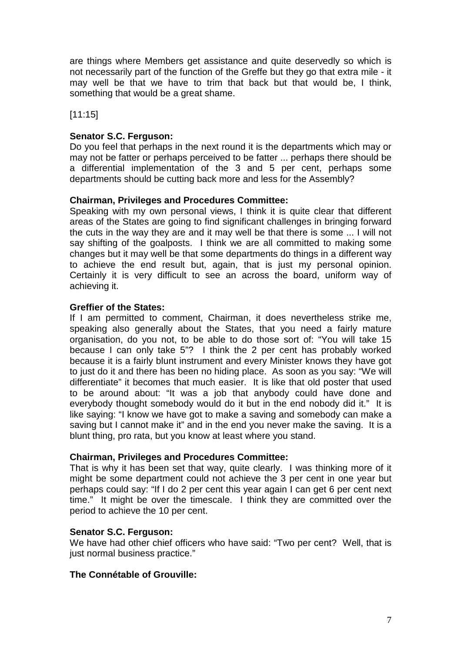are things where Members get assistance and quite deservedly so which is not necessarily part of the function of the Greffe but they go that extra mile - it may well be that we have to trim that back but that would be, I think, something that would be a great shame.

[11:15]

## **Senator S.C. Ferguson:**

Do you feel that perhaps in the next round it is the departments which may or may not be fatter or perhaps perceived to be fatter ... perhaps there should be a differential implementation of the 3 and 5 per cent, perhaps some departments should be cutting back more and less for the Assembly?

## **Chairman, Privileges and Procedures Committee:**

Speaking with my own personal views, I think it is quite clear that different areas of the States are going to find significant challenges in bringing forward the cuts in the way they are and it may well be that there is some ... I will not say shifting of the goalposts. I think we are all committed to making some changes but it may well be that some departments do things in a different way to achieve the end result but, again, that is just my personal opinion. Certainly it is very difficult to see an across the board, uniform way of achieving it.

## **Greffier of the States:**

If I am permitted to comment, Chairman, it does nevertheless strike me, speaking also generally about the States, that you need a fairly mature organisation, do you not, to be able to do those sort of: "You will take 15 because I can only take 5"? I think the 2 per cent has probably worked because it is a fairly blunt instrument and every Minister knows they have got to just do it and there has been no hiding place. As soon as you say: "We will differentiate" it becomes that much easier. It is like that old poster that used to be around about: "It was a job that anybody could have done and everybody thought somebody would do it but in the end nobody did it." It is like saying: "I know we have got to make a saving and somebody can make a saving but I cannot make it" and in the end you never make the saving. It is a blunt thing, pro rata, but you know at least where you stand.

## **Chairman, Privileges and Procedures Committee:**

That is why it has been set that way, quite clearly. I was thinking more of it might be some department could not achieve the 3 per cent in one year but perhaps could say: "If I do 2 per cent this year again I can get 6 per cent next time." It might be over the timescale. I think they are committed over the period to achieve the 10 per cent.

## **Senator S.C. Ferguson:**

We have had other chief officers who have said: "Two per cent? Well, that is just normal business practice."

## **The Connétable of Grouville:**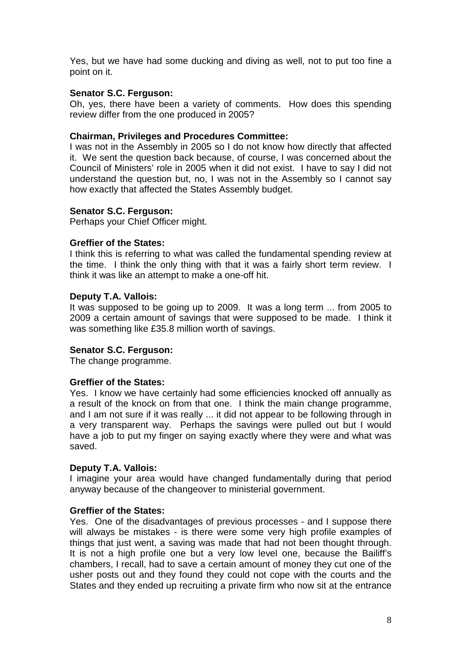Yes, but we have had some ducking and diving as well, not to put too fine a point on it.

## **Senator S.C. Ferguson:**

Oh, yes, there have been a variety of comments. How does this spending review differ from the one produced in 2005?

## **Chairman, Privileges and Procedures Committee:**

I was not in the Assembly in 2005 so I do not know how directly that affected it. We sent the question back because, of course, I was concerned about the Council of Ministers' role in 2005 when it did not exist. I have to say I did not understand the question but, no, I was not in the Assembly so I cannot say how exactly that affected the States Assembly budget.

## **Senator S.C. Ferguson:**

Perhaps your Chief Officer might.

## **Greffier of the States:**

I think this is referring to what was called the fundamental spending review at the time. I think the only thing with that it was a fairly short term review. I think it was like an attempt to make a one-off hit.

## **Deputy T.A. Vallois:**

It was supposed to be going up to 2009. It was a long term ... from 2005 to 2009 a certain amount of savings that were supposed to be made. I think it was something like £35.8 million worth of savings.

## **Senator S.C. Ferguson:**

The change programme.

## **Greffier of the States:**

Yes. I know we have certainly had some efficiencies knocked off annually as a result of the knock on from that one. I think the main change programme, and I am not sure if it was really ... it did not appear to be following through in a very transparent way. Perhaps the savings were pulled out but I would have a job to put my finger on saying exactly where they were and what was saved.

## **Deputy T.A. Vallois:**

I imagine your area would have changed fundamentally during that period anyway because of the changeover to ministerial government.

## **Greffier of the States:**

Yes. One of the disadvantages of previous processes - and I suppose there will always be mistakes - is there were some very high profile examples of things that just went, a saving was made that had not been thought through. It is not a high profile one but a very low level one, because the Bailiff's chambers, I recall, had to save a certain amount of money they cut one of the usher posts out and they found they could not cope with the courts and the States and they ended up recruiting a private firm who now sit at the entrance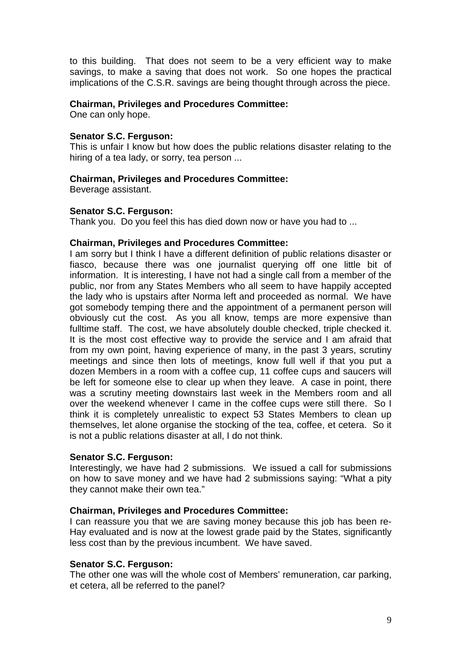to this building. That does not seem to be a very efficient way to make savings, to make a saving that does not work. So one hopes the practical implications of the C.S.R. savings are being thought through across the piece.

## **Chairman, Privileges and Procedures Committee:**

One can only hope.

## **Senator S.C. Ferguson:**

This is unfair I know but how does the public relations disaster relating to the hiring of a tea lady, or sorry, tea person ...

## **Chairman, Privileges and Procedures Committee:**

Beverage assistant.

## **Senator S.C. Ferguson:**

Thank you. Do you feel this has died down now or have you had to ...

## **Chairman, Privileges and Procedures Committee:**

I am sorry but I think I have a different definition of public relations disaster or fiasco, because there was one journalist querying off one little bit of information. It is interesting, I have not had a single call from a member of the public, nor from any States Members who all seem to have happily accepted the lady who is upstairs after Norma left and proceeded as normal. We have got somebody temping there and the appointment of a permanent person will obviously cut the cost. As you all know, temps are more expensive than fulltime staff. The cost, we have absolutely double checked, triple checked it. It is the most cost effective way to provide the service and I am afraid that from my own point, having experience of many, in the past 3 years, scrutiny meetings and since then lots of meetings, know full well if that you put a dozen Members in a room with a coffee cup, 11 coffee cups and saucers will be left for someone else to clear up when they leave. A case in point, there was a scrutiny meeting downstairs last week in the Members room and all over the weekend whenever I came in the coffee cups were still there. So I think it is completely unrealistic to expect 53 States Members to clean up themselves, let alone organise the stocking of the tea, coffee, et cetera. So it is not a public relations disaster at all, I do not think.

## **Senator S.C. Ferguson:**

Interestingly, we have had 2 submissions. We issued a call for submissions on how to save money and we have had 2 submissions saying: "What a pity they cannot make their own tea."

## **Chairman, Privileges and Procedures Committee:**

I can reassure you that we are saving money because this job has been re-Hay evaluated and is now at the lowest grade paid by the States, significantly less cost than by the previous incumbent. We have saved.

## **Senator S.C. Ferguson:**

The other one was will the whole cost of Members' remuneration, car parking, et cetera, all be referred to the panel?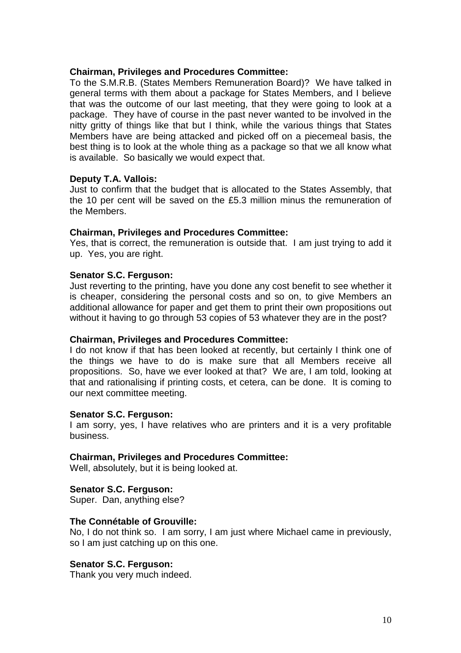## **Chairman, Privileges and Procedures Committee:**

To the S.M.R.B. (States Members Remuneration Board)? We have talked in general terms with them about a package for States Members, and I believe that was the outcome of our last meeting, that they were going to look at a package. They have of course in the past never wanted to be involved in the nitty gritty of things like that but I think, while the various things that States Members have are being attacked and picked off on a piecemeal basis, the best thing is to look at the whole thing as a package so that we all know what is available. So basically we would expect that.

## **Deputy T.A. Vallois:**

Just to confirm that the budget that is allocated to the States Assembly, that the 10 per cent will be saved on the £5.3 million minus the remuneration of the Members.

## **Chairman, Privileges and Procedures Committee:**

Yes, that is correct, the remuneration is outside that. I am just trying to add it up. Yes, you are right.

## **Senator S.C. Ferguson:**

Just reverting to the printing, have you done any cost benefit to see whether it is cheaper, considering the personal costs and so on, to give Members an additional allowance for paper and get them to print their own propositions out without it having to go through 53 copies of 53 whatever they are in the post?

## **Chairman, Privileges and Procedures Committee:**

I do not know if that has been looked at recently, but certainly I think one of the things we have to do is make sure that all Members receive all propositions. So, have we ever looked at that? We are, I am told, looking at that and rationalising if printing costs, et cetera, can be done. It is coming to our next committee meeting.

## **Senator S.C. Ferguson:**

I am sorry, yes, I have relatives who are printers and it is a very profitable business.

## **Chairman, Privileges and Procedures Committee:**

Well, absolutely, but it is being looked at.

## **Senator S.C. Ferguson:**

Super. Dan, anything else?

## **The Connétable of Grouville:**

No, I do not think so. I am sorry, I am just where Michael came in previously, so I am just catching up on this one.

## **Senator S.C. Ferguson:**

Thank you very much indeed.